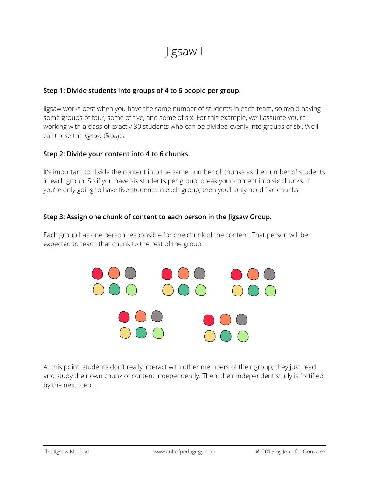## Jigsaw I

### **Step 1: Divide students into groups of 4 to 6 people per group.**

Jigsaw works best when you have the same number of students in each team, so avoid having some groups of four, some of five, and some of six. For this example, we'll assume you're working with a class of exactly 30 students who can be divided evenly into groups of six. We'll call these the *Jigsaw Groups*.

#### **Step 2: Divide your content into 4 to 6 chunks.**

It's important to divide the content into the same number of chunks as the number of students in each group. So if you have six students per group, break your content into six chunks. If you're only going to have five students in each group, then you'll only need five chunks.

#### **Step 3: Assign one chunk of content to each person in the Jigsaw Group.**

Each group has one person responsible for one chunk of the content. That person will be expected to teach that chunk to the rest of the group.



At this point, students don't really interact with other members of their group; they just read and study their own chunk of content independently. Then, their independent study is fortified by the next step…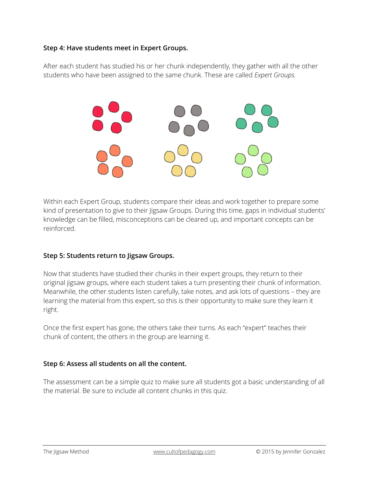#### **Step 4: Have students meet in Expert Groups.**

After each student has studied his or her chunk independently, they gather with all the other students who have been assigned to the same chunk. These are called *Expert Groups.*



Within each Expert Group, students compare their ideas and work together to prepare some kind of presentation to give to their Jigsaw Groups. During this time, gaps in individual students' knowledge can be filled, misconceptions can be cleared up, and important concepts can be reinforced.

#### **Step 5: Students return to Jigsaw Groups.**

Now that students have studied their chunks in their expert groups, they return to their original jigsaw groups, where each student takes a turn presenting their chunk of information. Meanwhile, the other students listen carefully, take notes, and ask lots of questions – they are learning the material from this expert, so this is their opportunity to make sure they learn it right.

Once the first expert has gone, the others take their turns. As each "expert" teaches their chunk of content, the others in the group are learning it.

#### **Step 6: Assess all students on all the content.**

The assessment can be a simple quiz to make sure all students got a basic understanding of all the material. Be sure to include all content chunks in this quiz.